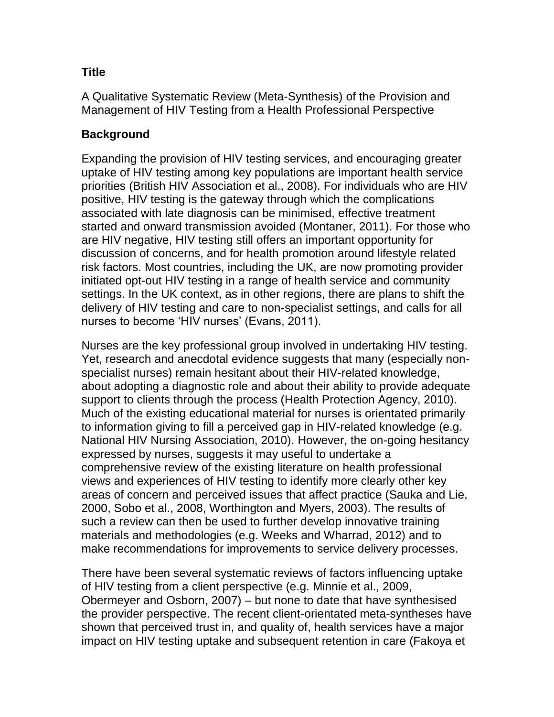### **Title**

A Qualitative Systematic Review (Meta-Synthesis) of the Provision and Management of HIV Testing from a Health Professional Perspective

# **Background**

Expanding the provision of HIV testing services, and encouraging greater uptake of HIV testing among key populations are important health service priorities (British HIV Association et al., 2008). For individuals who are HIV positive, HIV testing is the gateway through which the complications associated with late diagnosis can be minimised, effective treatment started and onward transmission avoided (Montaner, 2011). For those who are HIV negative, HIV testing still offers an important opportunity for discussion of concerns, and for health promotion around lifestyle related risk factors. Most countries, including the UK, are now promoting provider initiated opt-out HIV testing in a range of health service and community settings. In the UK context, as in other regions, there are plans to shift the delivery of HIV testing and care to non-specialist settings, and calls for all nurses to become 'HIV nurses' (Evans, 2011).

Nurses are the key professional group involved in undertaking HIV testing. Yet, research and anecdotal evidence suggests that many (especially nonspecialist nurses) remain hesitant about their HIV-related knowledge, about adopting a diagnostic role and about their ability to provide adequate support to clients through the process (Health Protection Agency, 2010). Much of the existing educational material for nurses is orientated primarily to information giving to fill a perceived gap in HIV-related knowledge (e.g. National HIV Nursing Association, 2010). However, the on-going hesitancy expressed by nurses, suggests it may useful to undertake a comprehensive review of the existing literature on health professional views and experiences of HIV testing to identify more clearly other key areas of concern and perceived issues that affect practice (Sauka and Lie, 2000, Sobo et al., 2008, Worthington and Myers, 2003). The results of such a review can then be used to further develop innovative training materials and methodologies (e.g. Weeks and Wharrad, 2012) and to make recommendations for improvements to service delivery processes.

There have been several systematic reviews of factors influencing uptake of HIV testing from a client perspective (e.g. Minnie et al., 2009, Obermeyer and Osborn, 2007) – but none to date that have synthesised the provider perspective. The recent client-orientated meta-syntheses have shown that perceived trust in, and quality of, health services have a major impact on HIV testing uptake and subsequent retention in care (Fakoya et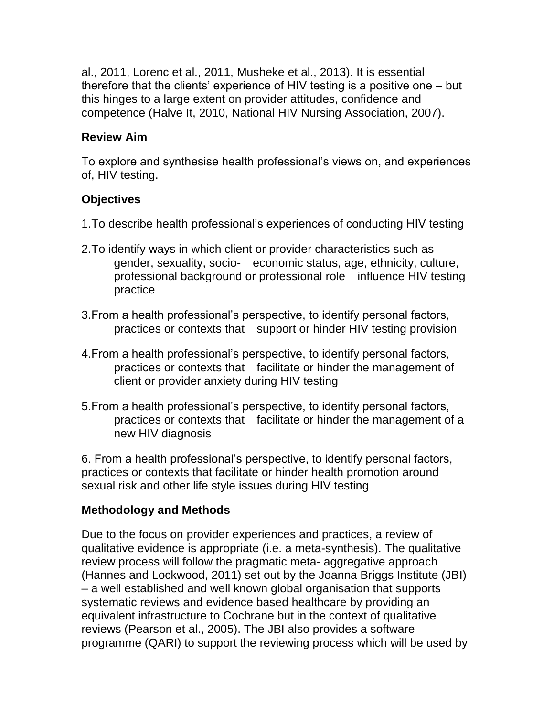al., 2011, Lorenc et al., 2011, Musheke et al., 2013). It is essential therefore that the clients' experience of HIV testing is a positive one – but this hinges to a large extent on provider attitudes, confidence and competence (Halve It, 2010, National HIV Nursing Association, 2007).

#### **Review Aim**

To explore and synthesise health professional's views on, and experiences of, HIV testing.

#### **Objectives**

- 1.To describe health professional's experiences of conducting HIV testing
- 2.To identify ways in which client or provider characteristics such as gender, sexuality, socio- economic status, age, ethnicity, culture, professional background or professional role influence HIV testing practice
- 3.From a health professional's perspective, to identify personal factors, practices or contexts that support or hinder HIV testing provision
- 4.From a health professional's perspective, to identify personal factors, practices or contexts that facilitate or hinder the management of client or provider anxiety during HIV testing
- 5.From a health professional's perspective, to identify personal factors, practices or contexts that facilitate or hinder the management of a new HIV diagnosis

6. From a health professional's perspective, to identify personal factors, practices or contexts that facilitate or hinder health promotion around sexual risk and other life style issues during HIV testing

### **Methodology and Methods**

Due to the focus on provider experiences and practices, a review of qualitative evidence is appropriate (i.e. a meta-synthesis). The qualitative review process will follow the pragmatic meta- aggregative approach (Hannes and Lockwood, 2011) set out by the Joanna Briggs Institute (JBI) – a well established and well known global organisation that supports systematic reviews and evidence based healthcare by providing an equivalent infrastructure to Cochrane but in the context of qualitative reviews (Pearson et al., 2005). The JBI also provides a software programme (QARI) to support the reviewing process which will be used by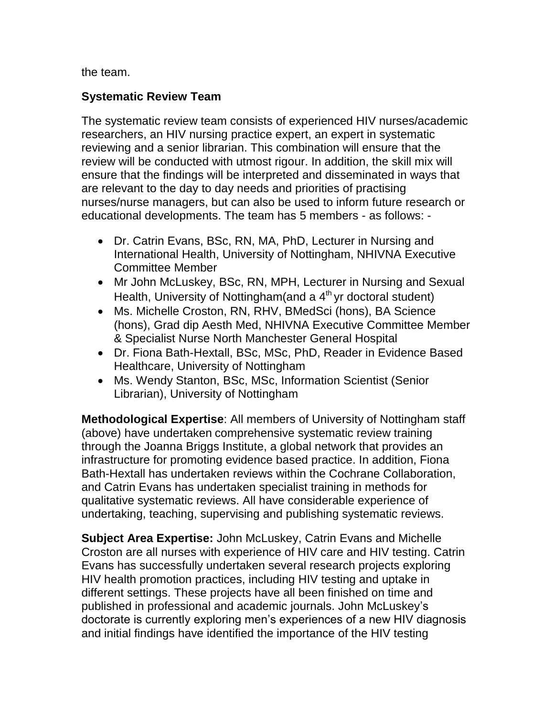the team.

### **Systematic Review Team**

The systematic review team consists of experienced HIV nurses/academic researchers, an HIV nursing practice expert, an expert in systematic reviewing and a senior librarian. This combination will ensure that the review will be conducted with utmost rigour. In addition, the skill mix will ensure that the findings will be interpreted and disseminated in ways that are relevant to the day to day needs and priorities of practising nurses/nurse managers, but can also be used to inform future research or educational developments. The team has 5 members - as follows: -

- Dr. Catrin Evans, BSc, RN, MA, PhD, Lecturer in Nursing and International Health, University of Nottingham, NHIVNA Executive Committee Member
- Mr John McLuskey, BSc, RN, MPH, Lecturer in Nursing and Sexual Health, University of Nottingham(and a 4<sup>th</sup> yr doctoral student)
- Ms. Michelle Croston, RN, RHV, BMedSci (hons), BA Science (hons), Grad dip Aesth Med, NHIVNA Executive Committee Member & Specialist Nurse North Manchester General Hospital
- Dr. Fiona Bath-Hextall, BSc, MSc, PhD, Reader in Evidence Based Healthcare, University of Nottingham
- Ms. Wendy Stanton, BSc, MSc, Information Scientist (Senior Librarian), University of Nottingham

**Methodological Expertise**: All members of University of Nottingham staff (above) have undertaken comprehensive systematic review training through the Joanna Briggs Institute, a global network that provides an infrastructure for promoting evidence based practice. In addition, Fiona Bath-Hextall has undertaken reviews within the Cochrane Collaboration, and Catrin Evans has undertaken specialist training in methods for qualitative systematic reviews. All have considerable experience of undertaking, teaching, supervising and publishing systematic reviews.

**Subject Area Expertise:** John McLuskey, Catrin Evans and Michelle Croston are all nurses with experience of HIV care and HIV testing. Catrin Evans has successfully undertaken several research projects exploring HIV health promotion practices, including HIV testing and uptake in different settings. These projects have all been finished on time and published in professional and academic journals. John McLuskey's doctorate is currently exploring men's experiences of a new HIV diagnosis and initial findings have identified the importance of the HIV testing